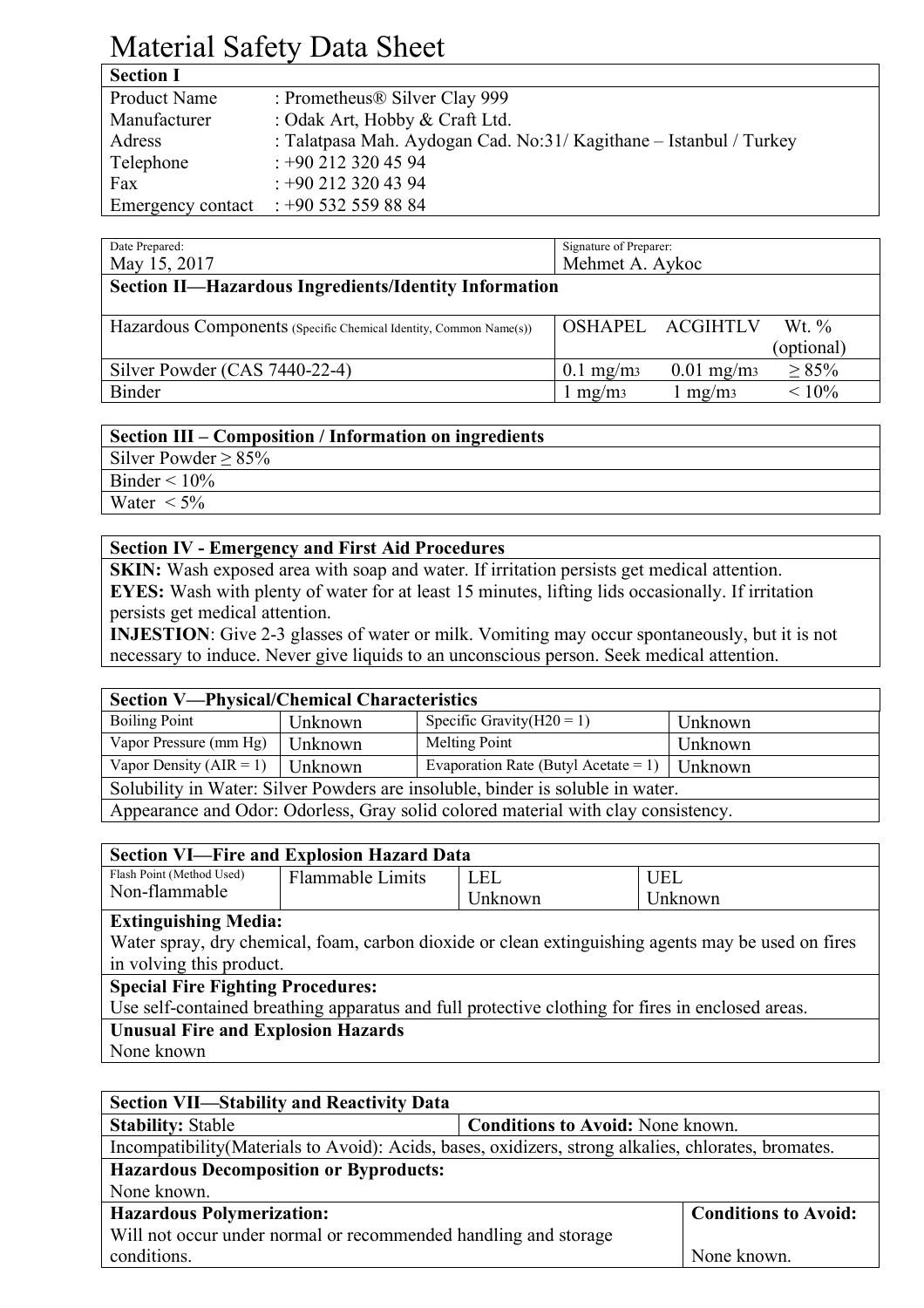# Material Safety Data Sheet

| <b>Section I</b>  |                                                                    |
|-------------------|--------------------------------------------------------------------|
| Product Name      | : Prometheus® Silver Clay 999                                      |
| Manufacturer      | : Odak Art, Hobby & Craft Ltd.                                     |
| Adress            | : Talatpasa Mah. Aydogan Cad. No:31/ Kagithane - Istanbul / Turkey |
| Telephone         | $: +902123204594$                                                  |
| Fax               | $: +902123204394$                                                  |
| Emergency contact | $: +905325598884$                                                  |

| Date Prepared:<br>May 15, 2017                                    | Signature of Preparer:<br>Mehmet A. Aykoc                          |  |  |
|-------------------------------------------------------------------|--------------------------------------------------------------------|--|--|
| <b>Section II—Hazardous Ingredients/Identity Information</b>      |                                                                    |  |  |
| Hazardous Components (Specific Chemical Identity, Common Name(s)) | OSHAPEL ACGIHTLV<br>Wt. $\%$<br>(optional)                         |  |  |
| Silver Powder (CAS 7440-22-4)                                     | $\geq 85\%$<br>$0.01$ mg/m <sub>3</sub><br>$0.1$ mg/m <sub>3</sub> |  |  |
| <b>Binder</b>                                                     | $< 10\%$<br>mg/m <sub>3</sub><br>l mg/m <sub>3</sub>               |  |  |

#### **Section III – Composition / Information on ingredients** Silver Powder  $\geq 85\%$ Binder  $\leq 10\%$ Water  $\lt 5\%$

#### **Section IV - Emergency and First Aid Procedures**

**SKIN:** Wash exposed area with soap and water. If irritation persists get medical attention. **EYES:** Wash with plenty of water for at least 15 minutes, lifting lids occasionally. If irritation persists get medical attention.

**INJESTION**: Give 2-3 glasses of water or milk. Vomiting may occur spontaneously, but it is not necessary to induce. Never give liquids to an unconscious person. Seek medical attention.

| <b>Section V-Physical/Chemical Characteristics</b>                                |         |                                              |         |
|-----------------------------------------------------------------------------------|---------|----------------------------------------------|---------|
| <b>Boiling Point</b>                                                              | Unknown | Specific Gravity $(H20 = 1)$                 | Unknown |
| Vapor Pressure (mm Hg)                                                            | Unknown | Melting Point                                | Unknown |
| Vapor Density $(AIR = 1)$                                                         | Unknown | Evaporation Rate (Butyl Acetate = 1) $\vert$ | Unknown |
| Solubility in Water: Silver Powders are insoluble, binder is soluble in water.    |         |                                              |         |
| Appearance and Odor: Odorless, Gray solid colored material with clay consistency. |         |                                              |         |

| <b>Section VI—Fire and Explosion Hazard Data</b>                                                   |                         |         |            |
|----------------------------------------------------------------------------------------------------|-------------------------|---------|------------|
| Flash Point (Method Used)                                                                          | <b>Flammable Limits</b> | LEL     | <b>UEL</b> |
| Non-flammable                                                                                      |                         | Unknown | Unknown    |
| <b>Extinguishing Media:</b>                                                                        |                         |         |            |
| Water spray, dry chemical, foam, carbon dioxide or clean extinguishing agents may be used on fires |                         |         |            |
| in volving this product.                                                                           |                         |         |            |
| <b>Special Fire Fighting Procedures:</b>                                                           |                         |         |            |
| Use self-contained breathing apparatus and full protective clothing for fires in enclosed areas.   |                         |         |            |
| <b>Unusual Fire and Explosion Hazards</b>                                                          |                         |         |            |
| None known                                                                                         |                         |         |            |

| <b>Section VII—Stability and Reactivity Data</b>                                                     |                                         |  |  |
|------------------------------------------------------------------------------------------------------|-----------------------------------------|--|--|
| <b>Stability: Stable</b>                                                                             | <b>Conditions to Avoid:</b> None known. |  |  |
| Incompatibility (Materials to Avoid): Acids, bases, oxidizers, strong alkalies, chlorates, bromates. |                                         |  |  |
| <b>Hazardous Decomposition or Byproducts:</b>                                                        |                                         |  |  |
| None known.                                                                                          |                                         |  |  |
| <b>Hazardous Polymerization:</b>                                                                     | <b>Conditions to Avoid:</b>             |  |  |
| Will not occur under normal or recommended handling and storage                                      |                                         |  |  |
| conditions.                                                                                          | None known.                             |  |  |